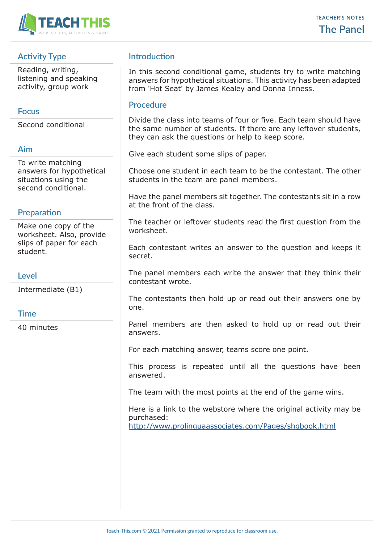

# **Activity Type**

Reading, writing, listening and speaking activity, group work

#### **Focus**

Second conditional

#### **Aim**

To write matching answers for hypothetical situations using the second conditional.

## **Preparation**

Make one copy of the worksheet. Also, provide slips of paper for each student.

### **Level**

Intermediate (B1)

### **Time**

40 minutes

## **Introduction**

In this second conditional game, students try to write matching answers for hypothetical situations. This activity has been adapted from 'Hot Seat' by James Kealey and Donna Inness.

#### **Procedure**

Divide the class into teams of four or five. Each team should have the same number of students. If there are any leftover students, they can ask the questions or help to keep score.

Give each student some slips of paper.

Choose one student in each team to be the contestant. The other students in the team are panel members.

Have the panel members sit together. The contestants sit in a row at the front of the class.

The teacher or leftover students read the first question from the worksheet.

Each contestant writes an answer to the question and keeps it secret.

The panel members each write the answer that they think their contestant wrote.

The contestants then hold up or read out their answers one by one.

Panel members are then asked to hold up or read out their answers.

For each matching answer, teams score one point.

This process is repeated until all the questions have been answered.

The team with the most points at the end of the game wins.

Here is a link to the webstore where the original activity may be purchased:

http://www.prolinguaassociates.com/Pages/shgbook.html